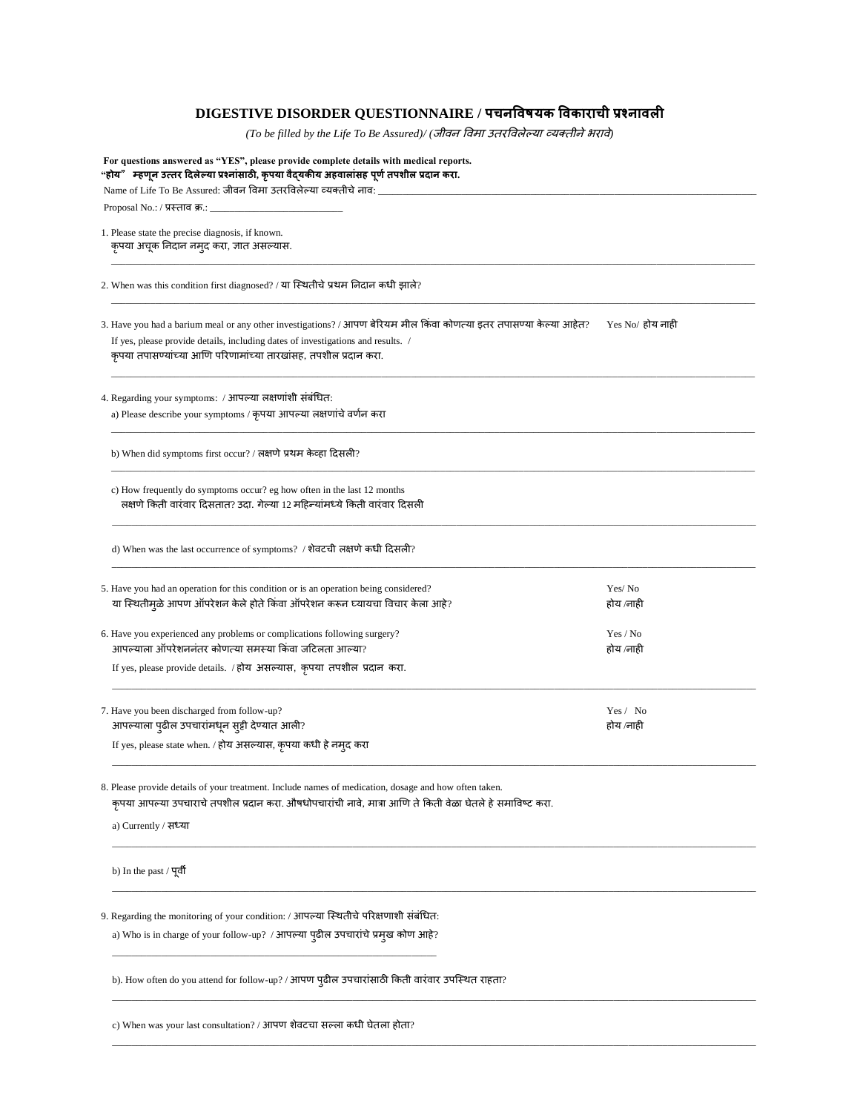## **DIGESTIVE DISORDER QUESTIONNAIRE / पचनविषयक विकाराची प्रश्नािली**

*(To be filled by the Life To Be Assured)/ (*जीवन ववमा उतरववलेल्या व्यक्तीनेभरावे*)*

| "होय" म्हणून उत्तर दिलेल्या प्रश्नांसाठी, कृपया वैद्यकीय अहवालांसह पूर्ण तपशील प्रदान करा.<br>Name of Life To Be Assured: जीवन विमा उतरविलेल्या व्यक्तीचे नाव:                                                                                                              |                       |
|-----------------------------------------------------------------------------------------------------------------------------------------------------------------------------------------------------------------------------------------------------------------------------|-----------------------|
| Proposal No.: / प्रस्ताव क्र.: $\_\_$                                                                                                                                                                                                                                       |                       |
| 1. Please state the precise diagnosis, if known.<br>कृपया अचूक निदान नमुद करा, ज्ञात असल्यास.                                                                                                                                                                               |                       |
| 2. When was this condition first diagnosed? / या स्थितीचे प्रथम निदान कधी झाले?                                                                                                                                                                                             |                       |
| 3. Have you had a barium meal or any other investigations? / आपण बेरियम मील किंवा कोणत्या इतर तपासण्या केल्या आहेत?<br>If yes, please provide details, including dates of investigations and results. /<br>कृपया तपासण्यांच्या आणि परिणामांच्या तारखांसह, तपशील प्रदान करा. | Yes No⁄ होय नाही      |
| 4. Regarding your symptoms: / आपल्या लक्षणांशी संबंधित:<br>a) Please describe your symptoms / कृपया आपल्या लक्षणांचे वर्णन करा                                                                                                                                              |                       |
| b) When did symptoms first occur? / लक्षणे प्रथम केव्हा दिसली?                                                                                                                                                                                                              |                       |
| c) How frequently do symptoms occur? eg how often in the last 12 months<br>लक्षणे किती वारंवार दिसतात? उदा. गेल्या 12 महिन्यांमध्ये किती वारंवार दिसली                                                                                                                      |                       |
| d) When was the last occurrence of symptoms? / शेवटची लक्षणे कधी दिसली?                                                                                                                                                                                                     |                       |
| 5. Have you had an operation for this condition or is an operation being considered?<br>या स्थितीमुळे आपण ऑपरेशन केले होते किंवा ऑपरेशन करून घ्यायचा विचार केला आहे?                                                                                                        | Yes/No<br>होय ⁄नाही   |
| 6. Have you experienced any problems or complications following surgery?<br>आपल्याला ऑपरेशननंतर कोणत्या समस्या किंवा जटिलता आल्या?<br>If yes, please provide details. / होय असल्यास, कृपया तपशील प्रदान करा.                                                                | Yes / No<br>होय ⁄नाही |
| 7. Have you been discharged from follow-up?<br>आपल्याला पुढील उपचारांमधून सुट्टी देण्यात आली?<br>If yes, please state when. / होय असल्यास, कृपया कधी हे नमुद करा                                                                                                            | Yes / No<br>होय ⁄नाही |
| 8. Please provide details of your treatment. Include names of medication, dosage and how often taken.<br>कृपया आपल्या उपचाराचे तपशील प्रदान करा. औषधोपचारांची नावे, मात्रा आणि ते किती वेळा घेतले हे समाविष्ट करा.<br>a) Currently / सध्या                                  |                       |
| b) In the past / पूर्वी                                                                                                                                                                                                                                                     |                       |
| 9. Regarding the monitoring of your condition: / आपल्या स्थितीचे परिक्षणाशी संबंधित:<br>a) Who is in charge of your follow-up? / आपल्या पुढील उपचारांचे प्रमुख कोण आहे?                                                                                                     |                       |
| b). How often do you attend for follow-up? / आपण पुढील उपचारांसाठी किती वारंवार उपस्थित राहता?                                                                                                                                                                              |                       |
| c) When was your last consultation? / आपण शेवटचा सल्ला कधी घेतला होता?                                                                                                                                                                                                      |                       |

\_\_\_\_\_\_\_\_\_\_\_\_\_\_\_\_\_\_\_\_\_\_\_\_\_\_\_\_\_\_\_\_\_\_\_\_\_\_\_\_\_\_\_\_\_\_\_\_\_\_\_\_\_\_\_\_\_\_\_\_\_\_\_\_\_\_\_\_\_\_\_\_\_\_\_\_\_\_\_\_\_\_\_\_\_\_\_\_\_\_\_\_\_\_\_\_\_\_\_\_\_\_\_\_\_\_\_\_\_\_\_\_\_\_\_\_\_\_\_\_\_\_\_\_\_\_\_\_\_\_\_